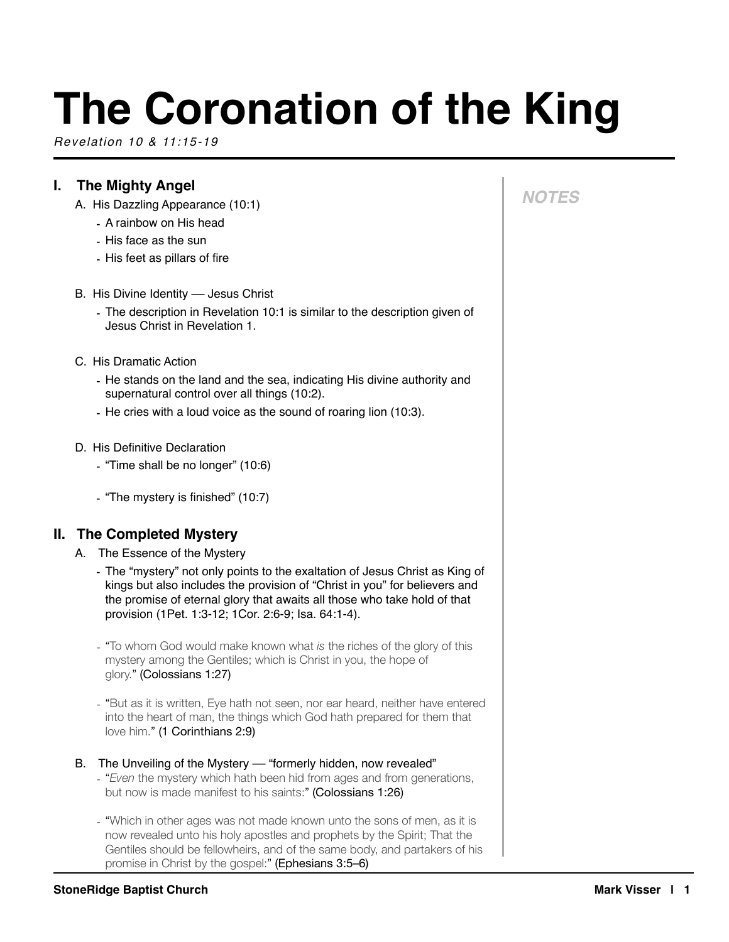# **The Coronation of the King**

*Revelation 10 & 11:15-19*

## **I. The Mighty Angel**

- A. His Dazzling Appearance (10:1)
	- A rainbow on His head
	- His face as the sun
	- His feet as pillars of fire
- B. His Divine Identity Jesus Christ
	- The description in Revelation 10:1 is similar to the description given of Jesus Christ in Revelation 1.
- C. His Dramatic Action
	- He stands on the land and the sea, indicating His divine authority and supernatural control over all things (10:2).
	- He cries with a loud voice as the sound of roaring lion (10:3).
- D. His Definitive Declaration
	- "Time shall be no longer" (10:6)
	- "The mystery is finished" (10:7)

## **II. The Completed Mystery**

- A. The Essence of the Mystery
	- The "mystery" not only points to the exaltation of Jesus Christ as King of kings but also includes the provision of "Christ in you" for believers and the promise of eternal glory that awaits all those who take hold of that provision (1Pet. 1:3-12; 1Cor. 2:6-9; Isa. 64:1-4).
	- "To whom God would make known what *is* the riches of the glory of this mystery among the Gentiles; which is Christ in you, the hope of glory." (Colossians 1:27)
	- "But as it is written, Eye hath not seen, nor ear heard, neither have entered into the heart of man, the things which God hath prepared for them that love him." (1 Corinthians 2:9)

#### B. The Unveiling of the Mystery - "formerly hidden, now revealed"

- "*Even* the mystery which hath been hid from ages and from generations, but now is made manifest to his saints:" (Colossians 1:26)
- "Which in other ages was not made known unto the sons of men, as it is now revealed unto his holy apostles and prophets by the Spirit; That the Gentiles should be fellowheirs, and of the same body, and partakers of his promise in Christ by the gospel:" (Ephesians 3:5–6)

# *NOTES*